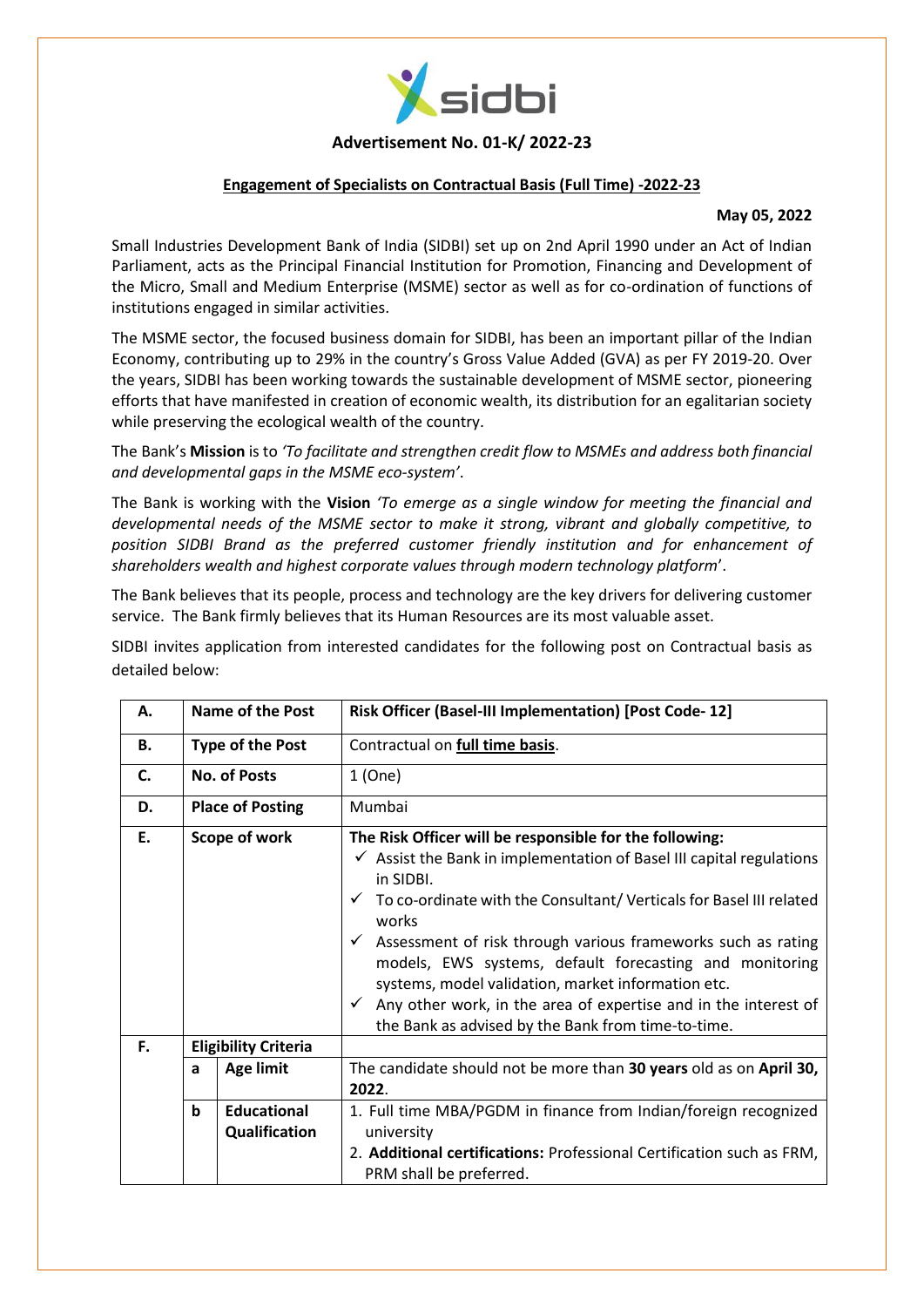

### **Advertisement No. 01-K/ 2022-23**

### **Engagement of Specialists on Contractual Basis (Full Time) -2022-23**

#### **May 05, 2022**

Small Industries Development Bank of India (SIDBI) set up on 2nd April 1990 under an Act of Indian Parliament, acts as the Principal Financial Institution for Promotion, Financing and Development of the Micro, Small and Medium Enterprise (MSME) sector as well as for co-ordination of functions of institutions engaged in similar activities.

The MSME sector, the focused business domain for SIDBI, has been an important pillar of the Indian Economy, contributing up to 29% in the country's Gross Value Added (GVA) as per FY 2019-20. Over the years, SIDBI has been working towards the sustainable development of MSME sector, pioneering efforts that have manifested in creation of economic wealth, its distribution for an egalitarian society while preserving the ecological wealth of the country.

The Bank's **Mission** is to *'To facilitate and strengthen credit flow to MSMEs and address both financial and developmental gaps in the MSME eco-system'*.

The Bank is working with the **Vision** *'To emerge as a single window for meeting the financial and developmental needs of the MSME sector to make it strong, vibrant and globally competitive, to position SIDBI Brand as the preferred customer friendly institution and for enhancement of shareholders wealth and highest corporate values through modern technology platform*'.

The Bank believes that its people, process and technology are the key drivers for delivering customer service. The Bank firmly believes that its Human Resources are its most valuable asset.

SIDBI invites application from interested candidates for the following post on Contractual basis as detailed below:

| Α.        |                             | <b>Name of the Post</b>             | Risk Officer (Basel-III Implementation) [Post Code-12]                                                                                                                                                                                                                                                                                                                                                                                                                                                                                                                                  |
|-----------|-----------------------------|-------------------------------------|-----------------------------------------------------------------------------------------------------------------------------------------------------------------------------------------------------------------------------------------------------------------------------------------------------------------------------------------------------------------------------------------------------------------------------------------------------------------------------------------------------------------------------------------------------------------------------------------|
| <b>B.</b> | <b>Type of the Post</b>     |                                     | Contractual on full time basis.                                                                                                                                                                                                                                                                                                                                                                                                                                                                                                                                                         |
| C.        | <b>No. of Posts</b>         |                                     | 1(One)                                                                                                                                                                                                                                                                                                                                                                                                                                                                                                                                                                                  |
| D.        | <b>Place of Posting</b>     |                                     | Mumbai                                                                                                                                                                                                                                                                                                                                                                                                                                                                                                                                                                                  |
| Ε.        | Scope of work               |                                     | The Risk Officer will be responsible for the following:<br>$\checkmark$ Assist the Bank in implementation of Basel III capital regulations<br>in SIDBI.<br>$\checkmark$ To co-ordinate with the Consultant/Verticals for Basel III related<br>works<br>$\checkmark$ Assessment of risk through various frameworks such as rating<br>models, EWS systems, default forecasting and monitoring<br>systems, model validation, market information etc.<br>$\checkmark$ Any other work, in the area of expertise and in the interest of<br>the Bank as advised by the Bank from time-to-time. |
| F.        | <b>Eligibility Criteria</b> |                                     |                                                                                                                                                                                                                                                                                                                                                                                                                                                                                                                                                                                         |
|           | a                           | <b>Age limit</b>                    | The candidate should not be more than 30 years old as on April 30,<br>2022.                                                                                                                                                                                                                                                                                                                                                                                                                                                                                                             |
|           | b                           | <b>Educational</b><br>Qualification | 1. Full time MBA/PGDM in finance from Indian/foreign recognized<br>university<br>2. Additional certifications: Professional Certification such as FRM,<br>PRM shall be preferred.                                                                                                                                                                                                                                                                                                                                                                                                       |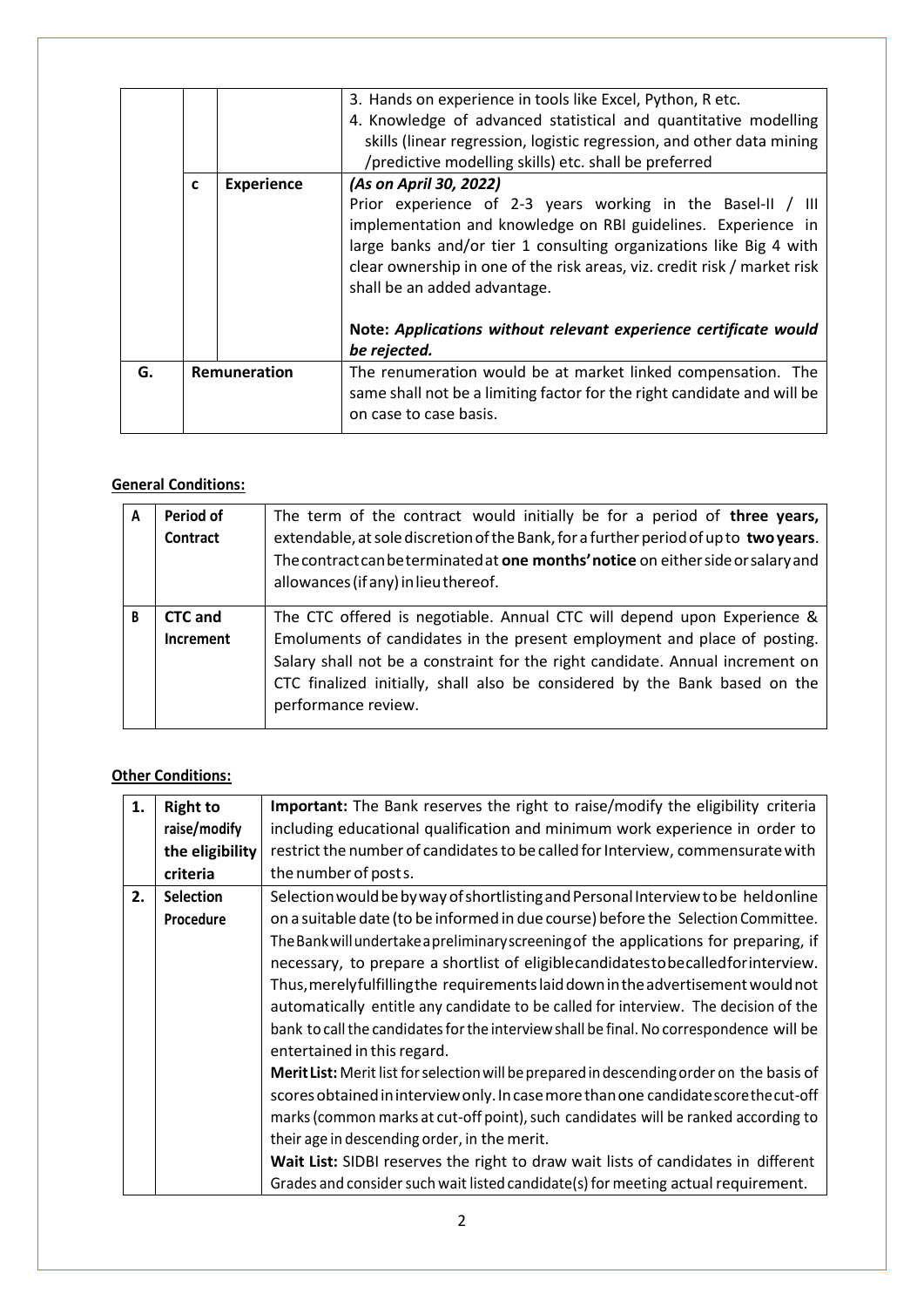|   |                   | 3. Hands on experience in tools like Excel, Python, R etc.                                                                                                                                                                                                                                                     |
|---|-------------------|----------------------------------------------------------------------------------------------------------------------------------------------------------------------------------------------------------------------------------------------------------------------------------------------------------------|
|   |                   | 4. Knowledge of advanced statistical and quantitative modelling                                                                                                                                                                                                                                                |
|   |                   | skills (linear regression, logistic regression, and other data mining                                                                                                                                                                                                                                          |
|   |                   | /predictive modelling skills) etc. shall be preferred                                                                                                                                                                                                                                                          |
| C | <b>Experience</b> | (As on April 30, 2022)                                                                                                                                                                                                                                                                                         |
|   |                   | Prior experience of 2-3 years working in the Basel-II / III<br>implementation and knowledge on RBI guidelines. Experience in<br>large banks and/or tier 1 consulting organizations like Big 4 with<br>clear ownership in one of the risk areas, viz. credit risk / market risk<br>shall be an added advantage. |
|   |                   | Note: Applications without relevant experience certificate would                                                                                                                                                                                                                                               |
|   |                   | be rejected.                                                                                                                                                                                                                                                                                                   |
|   |                   | The renumeration would be at market linked compensation. The<br>same shall not be a limiting factor for the right candidate and will be<br>on case to case basis.                                                                                                                                              |
|   |                   | Remuneration                                                                                                                                                                                                                                                                                                   |

## **General Conditions:**

| A | Period of<br>Contract       | The term of the contract would initially be for a period of three years,<br>extendable, at sole discretion of the Bank, for a further period of up to two years.<br>The contract can be terminated at one months' notice on either side or salary and<br>allowances (if any) in lieu thereof.                                             |
|---|-----------------------------|-------------------------------------------------------------------------------------------------------------------------------------------------------------------------------------------------------------------------------------------------------------------------------------------------------------------------------------------|
| B | <b>CTC</b> and<br>Increment | The CTC offered is negotiable. Annual CTC will depend upon Experience &<br>Emoluments of candidates in the present employment and place of posting.<br>Salary shall not be a constraint for the right candidate. Annual increment on<br>CTC finalized initially, shall also be considered by the Bank based on the<br>performance review. |

# **Other Conditions:**

| 1. | <b>Right to</b>  | Important: The Bank reserves the right to raise/modify the eligibility criteria           |
|----|------------------|-------------------------------------------------------------------------------------------|
|    | raise/modify     | including educational qualification and minimum work experience in order to               |
|    | the eligibility  | restrict the number of candidates to be called for Interview, commensurate with           |
|    | criteria         | the number of posts.                                                                      |
| 2. | <b>Selection</b> | Selection would be by way of shortlisting and Personal Interview to be held online        |
|    | Procedure        | on a suitable date (to be informed in due course) before the Selection Committee.         |
|    |                  | The Bank will undertake a preliminary screening of the applications for preparing, if     |
|    |                  | necessary, to prepare a shortlist of eligiblecandidatestobecalledforinterview.            |
|    |                  | Thus, merely fulfilling the requirements laid down in the advertisement would not         |
|    |                  | automatically entitle any candidate to be called for interview. The decision of the       |
|    |                  | bank to call the candidates for the interview shall be final. No correspondence will be   |
|    |                  | entertained in this regard.                                                               |
|    |                  | Merit List: Merit list for selection will be prepared in descending order on the basis of |
|    |                  | scores obtained in interview only. In case more than one candidate score the cut-off      |
|    |                  | marks (common marks at cut-off point), such candidates will be ranked according to        |
|    |                  | their age in descending order, in the merit.                                              |
|    |                  | Wait List: SIDBI reserves the right to draw wait lists of candidates in different         |
|    |                  | Grades and consider such wait listed candidate(s) for meeting actual requirement.         |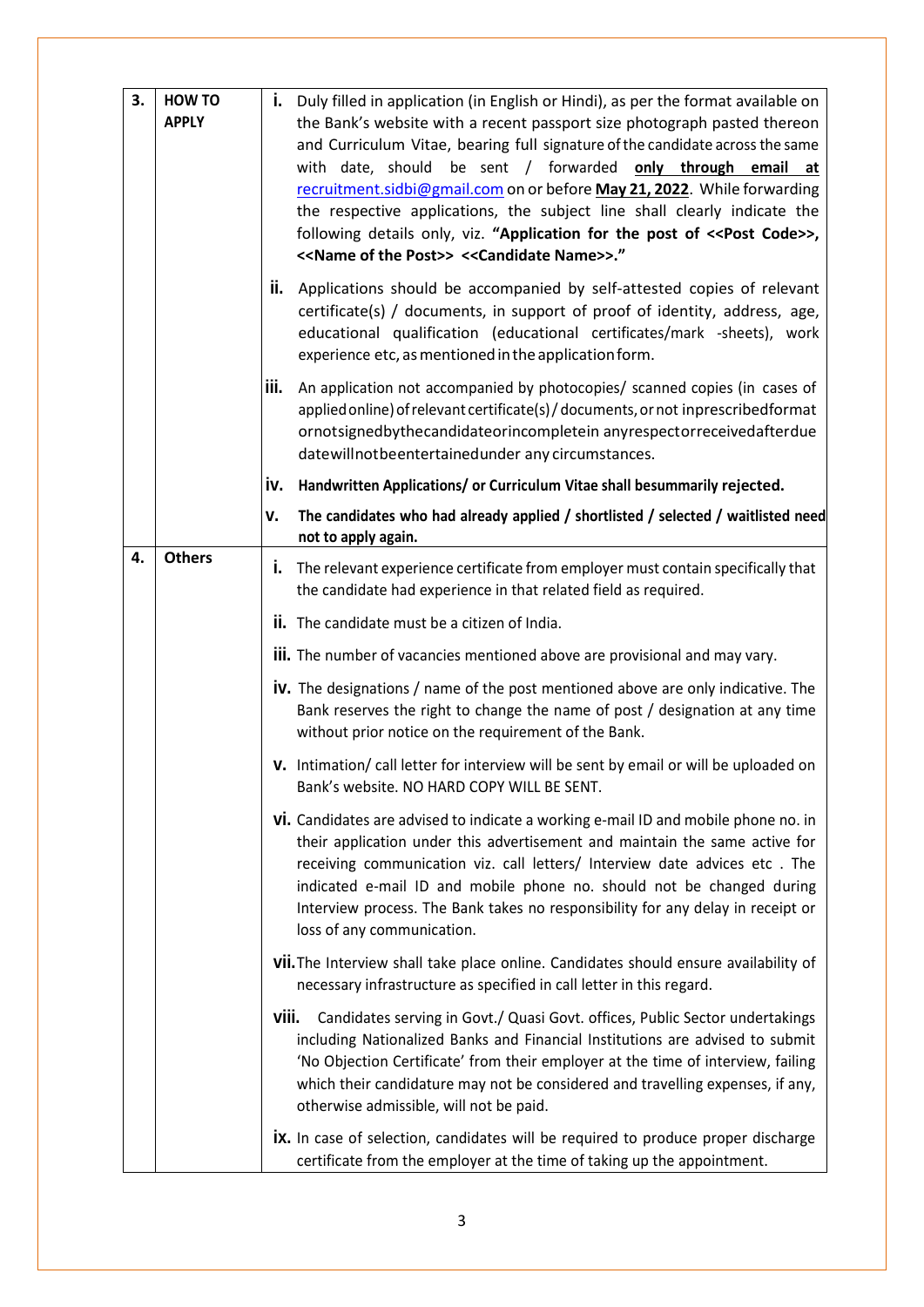| 3. | <b>HOW TO</b><br><b>APPLY</b> | i.    | Duly filled in application (in English or Hindi), as per the format available on<br>the Bank's website with a recent passport size photograph pasted thereon<br>and Curriculum Vitae, bearing full signature of the candidate across the same<br>with date, should be sent / forwarded only through email at<br>recruitment.sidbi@gmail.com on or before May 21, 2022. While forwarding<br>the respective applications, the subject line shall clearly indicate the<br>following details only, viz. "Application for the post of << Post Code>>,<br><< Name of the Post>> << Candidate Name>>." |
|----|-------------------------------|-------|-------------------------------------------------------------------------------------------------------------------------------------------------------------------------------------------------------------------------------------------------------------------------------------------------------------------------------------------------------------------------------------------------------------------------------------------------------------------------------------------------------------------------------------------------------------------------------------------------|
|    |                               |       | ii. Applications should be accompanied by self-attested copies of relevant<br>certificate(s) / documents, in support of proof of identity, address, age,<br>educational qualification (educational certificates/mark -sheets), work<br>experience etc, as mentioned in the application form.                                                                                                                                                                                                                                                                                                    |
|    |                               | iii.  | An application not accompanied by photocopies/ scanned copies (in cases of<br>applied online) of relevant certificate(s) / documents, or not inprescribedformat<br>ornotsignedbythecandidateorincompletein anyrespectorreceivedafterdue<br>datewillnotbeentertainedunder any circumstances.                                                                                                                                                                                                                                                                                                     |
|    |                               | iv.   | Handwritten Applications/ or Curriculum Vitae shall besummarily rejected.                                                                                                                                                                                                                                                                                                                                                                                                                                                                                                                       |
|    |                               | ٧.    | The candidates who had already applied / shortlisted / selected / waitlisted need<br>not to apply again.                                                                                                                                                                                                                                                                                                                                                                                                                                                                                        |
| 4. | <b>Others</b>                 | j.    | The relevant experience certificate from employer must contain specifically that<br>the candidate had experience in that related field as required.                                                                                                                                                                                                                                                                                                                                                                                                                                             |
|    |                               |       | <b>ii.</b> The candidate must be a citizen of India.                                                                                                                                                                                                                                                                                                                                                                                                                                                                                                                                            |
|    |                               |       | <b>iii.</b> The number of vacancies mentioned above are provisional and may vary.                                                                                                                                                                                                                                                                                                                                                                                                                                                                                                               |
|    |                               |       | <b>iv.</b> The designations / name of the post mentioned above are only indicative. The<br>Bank reserves the right to change the name of post / designation at any time<br>without prior notice on the requirement of the Bank.                                                                                                                                                                                                                                                                                                                                                                 |
|    |                               |       | V. Intimation/call letter for interview will be sent by email or will be uploaded on<br>Bank's website. NO HARD COPY WILL BE SENT.                                                                                                                                                                                                                                                                                                                                                                                                                                                              |
|    |                               |       | Vi. Candidates are advised to indicate a working e-mail ID and mobile phone no. in<br>their application under this advertisement and maintain the same active for<br>receiving communication viz. call letters/ Interview date advices etc. The<br>indicated e-mail ID and mobile phone no. should not be changed during<br>Interview process. The Bank takes no responsibility for any delay in receipt or<br>loss of any communication.                                                                                                                                                       |
|    |                               |       | <b>VII.</b> The Interview shall take place online. Candidates should ensure availability of<br>necessary infrastructure as specified in call letter in this regard.                                                                                                                                                                                                                                                                                                                                                                                                                             |
|    |                               | viii. | Candidates serving in Govt./ Quasi Govt. offices, Public Sector undertakings<br>including Nationalized Banks and Financial Institutions are advised to submit<br>'No Objection Certificate' from their employer at the time of interview, failing<br>which their candidature may not be considered and travelling expenses, if any,<br>otherwise admissible, will not be paid.                                                                                                                                                                                                                  |
|    |                               |       | <b>ix.</b> In case of selection, candidates will be required to produce proper discharge<br>certificate from the employer at the time of taking up the appointment.                                                                                                                                                                                                                                                                                                                                                                                                                             |